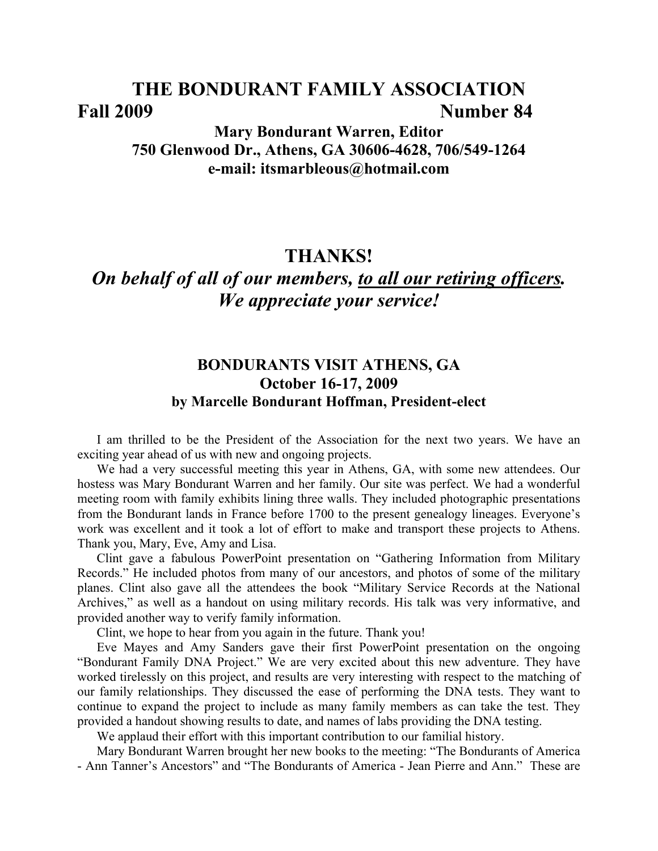# **THE BONDURANT FAMILY ASSOCIATION Fall 2009 Number 84**

# **Mary Bondurant Warren, Editor 750 Glenwood Dr., Athens, GA 30606-4628, 706/549-1264 e-mail: itsmarbleous@hotmail.com**

# **THANKS!**

# *On behalf of all of our members, to all our retiring officers. We appreciate your service!*

# **BONDURANTS VISIT ATHENS, GA October 16-17, 2009 by Marcelle Bondurant Hoffman, President-elect**

I am thrilled to be the President of the Association for the next two years. We have an exciting year ahead of us with new and ongoing projects.

We had a very successful meeting this year in Athens, GA, with some new attendees. Our hostess was Mary Bondurant Warren and her family. Our site was perfect. We had a wonderful meeting room with family exhibits lining three walls. They included photographic presentations from the Bondurant lands in France before 1700 to the present genealogy lineages. Everyone's work was excellent and it took a lot of effort to make and transport these projects to Athens. Thank you, Mary, Eve, Amy and Lisa.

Clint gave a fabulous PowerPoint presentation on "Gathering Information from Military Records." He included photos from many of our ancestors, and photos of some of the military planes. Clint also gave all the attendees the book "Military Service Records at the National Archives," as well as a handout on using military records. His talk was very informative, and provided another way to verify family information.

Clint, we hope to hear from you again in the future. Thank you!

Eve Mayes and Amy Sanders gave their first PowerPoint presentation on the ongoing "Bondurant Family DNA Project." We are very excited about this new adventure. They have worked tirelessly on this project, and results are very interesting with respect to the matching of our family relationships. They discussed the ease of performing the DNA tests. They want to continue to expand the project to include as many family members as can take the test. They provided a handout showing results to date, and names of labs providing the DNA testing.

We applaud their effort with this important contribution to our familial history.

Mary Bondurant Warren brought her new books to the meeting: "The Bondurants of America - Ann Tanner's Ancestors" and "The Bondurants of America - Jean Pierre and Ann." These are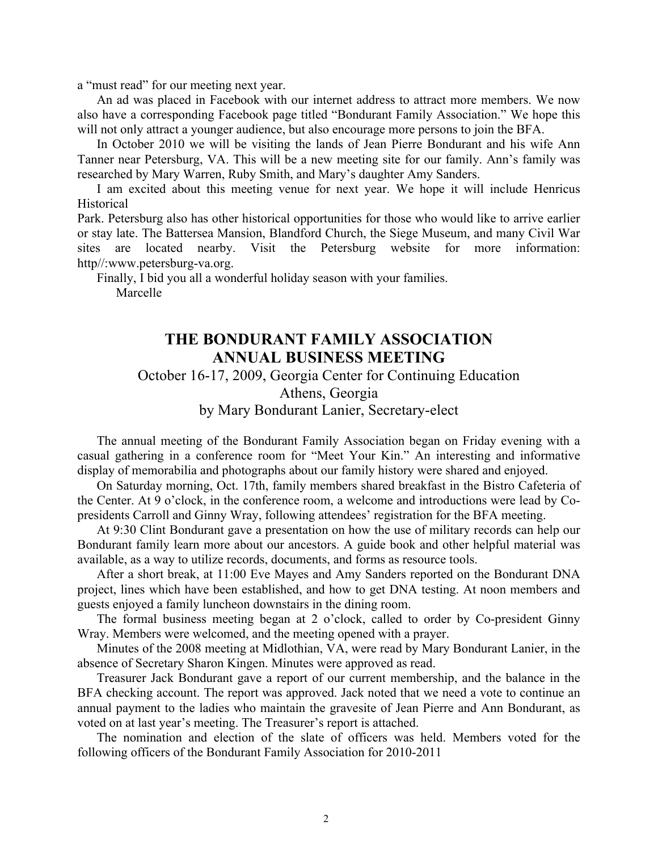a "must read" for our meeting next year.

An ad was placed in Facebook with our internet address to attract more members. We now also have a corresponding Facebook page titled "Bondurant Family Association." We hope this will not only attract a younger audience, but also encourage more persons to join the BFA.

In October 2010 we will be visiting the lands of Jean Pierre Bondurant and his wife Ann Tanner near Petersburg, VA. This will be a new meeting site for our family. Ann's family was researched by Mary Warren, Ruby Smith, and Mary's daughter Amy Sanders.

I am excited about this meeting venue for next year. We hope it will include Henricus Historical

Park. Petersburg also has other historical opportunities for those who would like to arrive earlier or stay late. The Battersea Mansion, Blandford Church, the Siege Museum, and many Civil War sites are located nearby. Visit the Petersburg website for more information: http//:www.petersburg-va.org.

Finally, I bid you all a wonderful holiday season with your families.

Marcelle

# **THE BONDURANT FAMILY ASSOCIATION ANNUAL BUSINESS MEETING**

October 16-17, 2009, Georgia Center for Continuing Education

Athens, Georgia

by Mary Bondurant Lanier, Secretary-elect

The annual meeting of the Bondurant Family Association began on Friday evening with a casual gathering in a conference room for "Meet Your Kin." An interesting and informative display of memorabilia and photographs about our family history were shared and enjoyed.

On Saturday morning, Oct. 17th, family members shared breakfast in the Bistro Cafeteria of the Center. At 9 o'clock, in the conference room, a welcome and introductions were lead by Copresidents Carroll and Ginny Wray, following attendees' registration for the BFA meeting.

At 9:30 Clint Bondurant gave a presentation on how the use of military records can help our Bondurant family learn more about our ancestors. A guide book and other helpful material was available, as a way to utilize records, documents, and forms as resource tools.

After a short break, at 11:00 Eve Mayes and Amy Sanders reported on the Bondurant DNA project, lines which have been established, and how to get DNA testing. At noon members and guests enjoyed a family luncheon downstairs in the dining room.

The formal business meeting began at 2 o'clock, called to order by Co-president Ginny Wray. Members were welcomed, and the meeting opened with a prayer.

Minutes of the 2008 meeting at Midlothian, VA, were read by Mary Bondurant Lanier, in the absence of Secretary Sharon Kingen. Minutes were approved as read.

Treasurer Jack Bondurant gave a report of our current membership, and the balance in the BFA checking account. The report was approved. Jack noted that we need a vote to continue an annual payment to the ladies who maintain the gravesite of Jean Pierre and Ann Bondurant, as voted on at last year's meeting. The Treasurer's report is attached.

The nomination and election of the slate of officers was held. Members voted for the following officers of the Bondurant Family Association for 2010-2011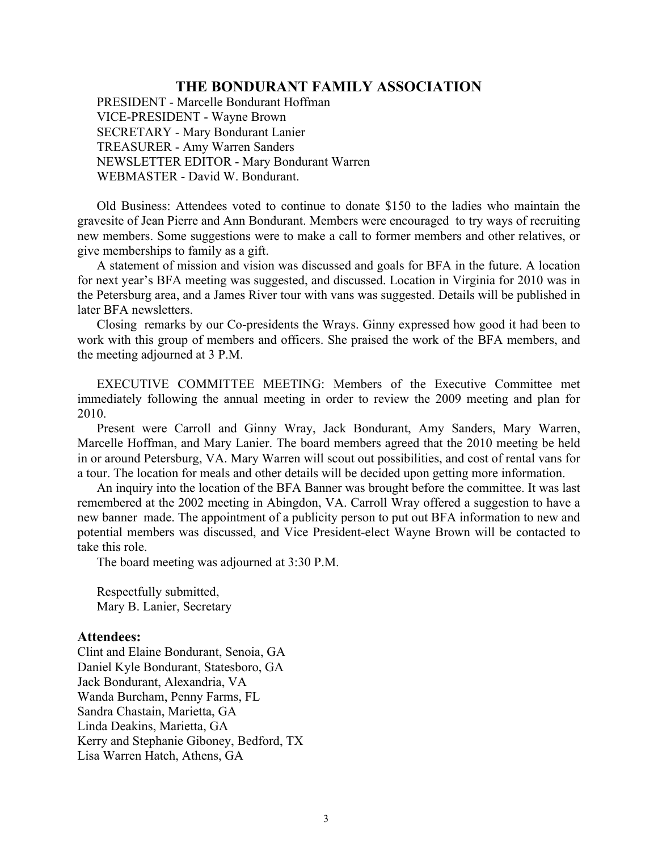PRESIDENT - Marcelle Bondurant Hoffman VICE-PRESIDENT - Wayne Brown SECRETARY - Mary Bondurant Lanier TREASURER - Amy Warren Sanders NEWSLETTER EDITOR - Mary Bondurant Warren WEBMASTER - David W. Bondurant.

Old Business: Attendees voted to continue to donate \$150 to the ladies who maintain the gravesite of Jean Pierre and Ann Bondurant. Members were encouraged to try ways of recruiting new members. Some suggestions were to make a call to former members and other relatives, or give memberships to family as a gift.

A statement of mission and vision was discussed and goals for BFA in the future. A location for next year's BFA meeting was suggested, and discussed. Location in Virginia for 2010 was in the Petersburg area, and a James River tour with vans was suggested. Details will be published in later BFA newsletters.

Closing remarks by our Co-presidents the Wrays. Ginny expressed how good it had been to work with this group of members and officers. She praised the work of the BFA members, and the meeting adjourned at 3 P.M.

EXECUTIVE COMMITTEE MEETING: Members of the Executive Committee met immediately following the annual meeting in order to review the 2009 meeting and plan for 2010.

Present were Carroll and Ginny Wray, Jack Bondurant, Amy Sanders, Mary Warren, Marcelle Hoffman, and Mary Lanier. The board members agreed that the 2010 meeting be held in or around Petersburg, VA. Mary Warren will scout out possibilities, and cost of rental vans for a tour. The location for meals and other details will be decided upon getting more information.

An inquiry into the location of the BFA Banner was brought before the committee. It was last remembered at the 2002 meeting in Abingdon, VA. Carroll Wray offered a suggestion to have a new banner made. The appointment of a publicity person to put out BFA information to new and potential members was discussed, and Vice President-elect Wayne Brown will be contacted to take this role.

The board meeting was adjourned at 3:30 P.M.

Respectfully submitted, Mary B. Lanier, Secretary

#### **Attendees:**

Clint and Elaine Bondurant, Senoia, GA Daniel Kyle Bondurant, Statesboro, GA Jack Bondurant, Alexandria, VA Wanda Burcham, Penny Farms, FL Sandra Chastain, Marietta, GA Linda Deakins, Marietta, GA Kerry and Stephanie Giboney, Bedford, TX Lisa Warren Hatch, Athens, GA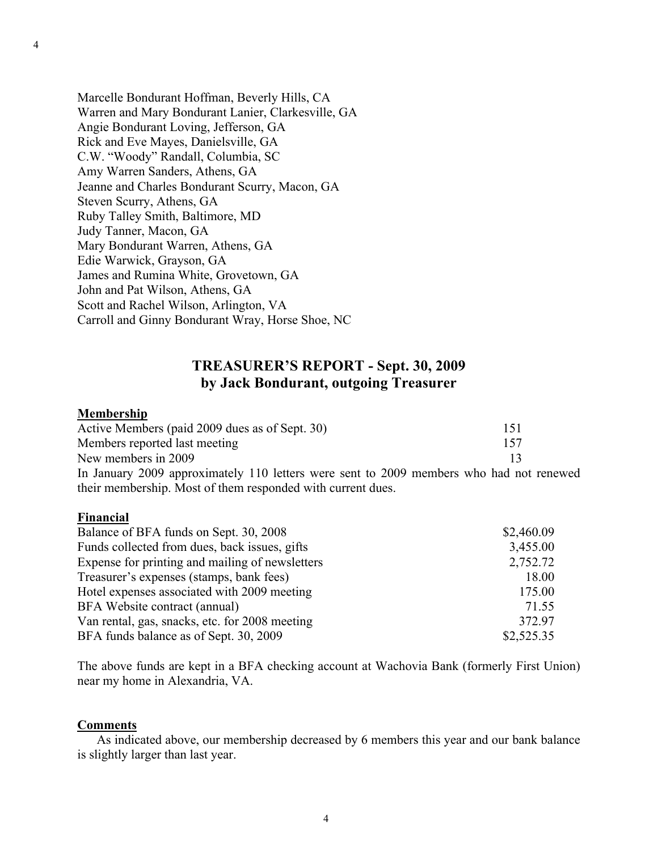Marcelle Bondurant Hoffman, Beverly Hills, CA Warren and Mary Bondurant Lanier, Clarkesville, GA Angie Bondurant Loving, Jefferson, GA Rick and Eve Mayes, Danielsville, GA C.W. "Woody" Randall, Columbia, SC Amy Warren Sanders, Athens, GA Jeanne and Charles Bondurant Scurry, Macon, GA Steven Scurry, Athens, GA Ruby Talley Smith, Baltimore, MD Judy Tanner, Macon, GA Mary Bondurant Warren, Athens, GA Edie Warwick, Grayson, GA James and Rumina White, Grovetown, GA John and Pat Wilson, Athens, GA Scott and Rachel Wilson, Arlington, VA Carroll and Ginny Bondurant Wray, Horse Shoe, NC

their membership. Most of them responded with current dues.

# **TREASURER'S REPORT - Sept. 30, 2009 by Jack Bondurant, outgoing Treasurer**

### **Membership**

| Active Members (paid 2009 dues as of Sept. 30)                                          | 151 |
|-----------------------------------------------------------------------------------------|-----|
| Members reported last meeting                                                           | 157 |
| New members in 2009                                                                     |     |
| In January 2009 approximately 110 letters were sent to 2009 members who had not renewed |     |

#### **Financial**

| Balance of BFA funds on Sept. 30, 2008          | \$2,460.09 |
|-------------------------------------------------|------------|
| Funds collected from dues, back issues, gifts   | 3,455.00   |
| Expense for printing and mailing of newsletters | 2,752.72   |
| Treasurer's expenses (stamps, bank fees)        | 18.00      |
| Hotel expenses associated with 2009 meeting     | 175.00     |
| BFA Website contract (annual)                   | 71.55      |
| Van rental, gas, snacks, etc. for 2008 meeting  | 372.97     |
| BFA funds balance as of Sept. 30, 2009          | \$2,525.35 |

The above funds are kept in a BFA checking account at Wachovia Bank (formerly First Union) near my home in Alexandria, VA.

#### **Comments**

As indicated above, our membership decreased by 6 members this year and our bank balance is slightly larger than last year.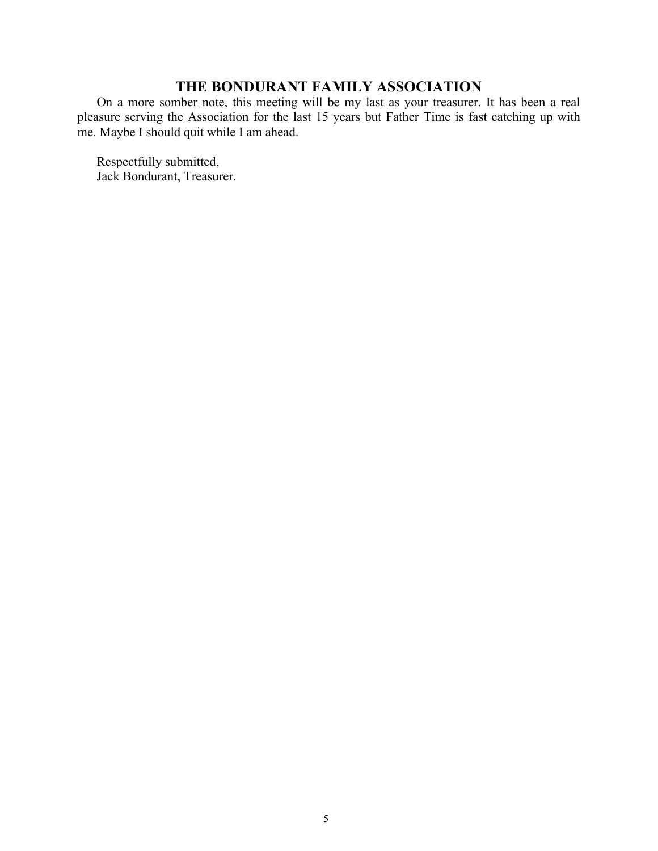On a more somber note, this meeting will be my last as your treasurer. It has been a real pleasure serving the Association for the last 15 years but Father Time is fast catching up with me. Maybe I should quit while I am ahead.

Respectfully submitted, Jack Bondurant, Treasurer.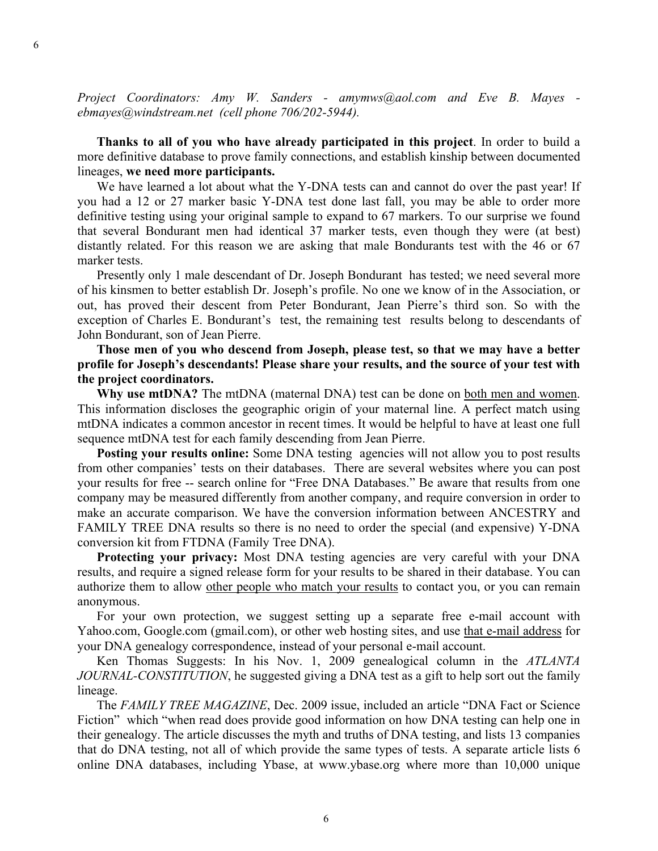*Project Coordinators: Amy W. Sanders - amymws@aol.com and Eve B. Mayes ebmayes@windstream.net (cell phone 706/202-5944).*

**Thanks to all of you who have already participated in this project**. In order to build a more definitive database to prove family connections, and establish kinship between documented lineages, **we need more participants.**

We have learned a lot about what the Y-DNA tests can and cannot do over the past year! If you had a 12 or 27 marker basic Y-DNA test done last fall, you may be able to order more definitive testing using your original sample to expand to 67 markers. To our surprise we found that several Bondurant men had identical 37 marker tests, even though they were (at best) distantly related. For this reason we are asking that male Bondurants test with the 46 or 67 marker tests.

Presently only 1 male descendant of Dr. Joseph Bondurant has tested; we need several more of his kinsmen to better establish Dr. Joseph's profile. No one we know of in the Association, or out, has proved their descent from Peter Bondurant, Jean Pierre's third son. So with the exception of Charles E. Bondurant's test, the remaining test results belong to descendants of John Bondurant, son of Jean Pierre.

**Those men of you who descend from Joseph, please test, so that we may have a better profile for Joseph's descendants! Please share your results, and the source of your test with the project coordinators.**

**Why use mtDNA?** The mtDNA (maternal DNA) test can be done on both men and women. This information discloses the geographic origin of your maternal line. A perfect match using mtDNA indicates a common ancestor in recent times. It would be helpful to have at least one full sequence mtDNA test for each family descending from Jean Pierre.

**Posting your results online:** Some DNA testing agencies will not allow you to post results from other companies' tests on their databases. There are several websites where you can post your results for free -- search online for "Free DNA Databases." Be aware that results from one company may be measured differently from another company, and require conversion in order to make an accurate comparison. We have the conversion information between ANCESTRY and FAMILY TREE DNA results so there is no need to order the special (and expensive) Y-DNA conversion kit from FTDNA (Family Tree DNA).

**Protecting your privacy:** Most DNA testing agencies are very careful with your DNA results, and require a signed release form for your results to be shared in their database. You can authorize them to allow other people who match your results to contact you, or you can remain anonymous.

For your own protection, we suggest setting up a separate free e-mail account with Yahoo.com, Google.com (gmail.com), or other web hosting sites, and use that e-mail address for your DNA genealogy correspondence, instead of your personal e-mail account.

Ken Thomas Suggests: In his Nov. 1, 2009 genealogical column in the *ATLANTA JOURNAL-CONSTITUTION*, he suggested giving a DNA test as a gift to help sort out the family lineage.

The *FAMILY TREE MAGAZINE*, Dec. 2009 issue, included an article "DNA Fact or Science Fiction" which "when read does provide good information on how DNA testing can help one in their genealogy. The article discusses the myth and truths of DNA testing, and lists 13 companies that do DNA testing, not all of which provide the same types of tests. A separate article lists 6 online DNA databases, including Ybase, at www.ybase.org where more than 10,000 unique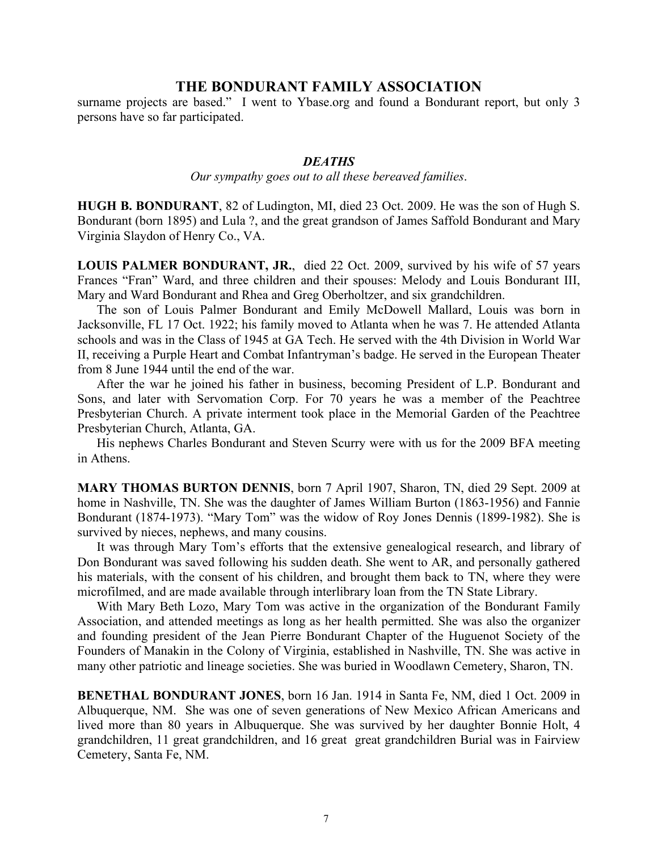surname projects are based." I went to Ybase.org and found a Bondurant report, but only 3 persons have so far participated.

### *DEATHS*

*Our sympathy goes out to all these bereaved families*.

**HUGH B. BONDURANT**, 82 of Ludington, MI, died 23 Oct. 2009. He was the son of Hugh S. Bondurant (born 1895) and Lula ?, and the great grandson of James Saffold Bondurant and Mary Virginia Slaydon of Henry Co., VA.

**LOUIS PALMER BONDURANT, JR.**, died 22 Oct. 2009, survived by his wife of 57 years Frances "Fran" Ward, and three children and their spouses: Melody and Louis Bondurant III, Mary and Ward Bondurant and Rhea and Greg Oberholtzer, and six grandchildren.

The son of Louis Palmer Bondurant and Emily McDowell Mallard, Louis was born in Jacksonville, FL 17 Oct. 1922; his family moved to Atlanta when he was 7. He attended Atlanta schools and was in the Class of 1945 at GA Tech. He served with the 4th Division in World War II, receiving a Purple Heart and Combat Infantryman's badge. He served in the European Theater from 8 June 1944 until the end of the war.

After the war he joined his father in business, becoming President of L.P. Bondurant and Sons, and later with Servomation Corp. For 70 years he was a member of the Peachtree Presbyterian Church. A private interment took place in the Memorial Garden of the Peachtree Presbyterian Church, Atlanta, GA.

His nephews Charles Bondurant and Steven Scurry were with us for the 2009 BFA meeting in Athens.

**MARY THOMAS BURTON DENNIS**, born 7 April 1907, Sharon, TN, died 29 Sept. 2009 at home in Nashville, TN. She was the daughter of James William Burton (1863-1956) and Fannie Bondurant (1874-1973). "Mary Tom" was the widow of Roy Jones Dennis (1899-1982). She is survived by nieces, nephews, and many cousins.

It was through Mary Tom's efforts that the extensive genealogical research, and library of Don Bondurant was saved following his sudden death. She went to AR, and personally gathered his materials, with the consent of his children, and brought them back to TN, where they were microfilmed, and are made available through interlibrary loan from the TN State Library.

With Mary Beth Lozo, Mary Tom was active in the organization of the Bondurant Family Association, and attended meetings as long as her health permitted. She was also the organizer and founding president of the Jean Pierre Bondurant Chapter of the Huguenot Society of the Founders of Manakin in the Colony of Virginia, established in Nashville, TN. She was active in many other patriotic and lineage societies. She was buried in Woodlawn Cemetery, Sharon, TN.

**BENETHAL BONDURANT JONES**, born 16 Jan. 1914 in Santa Fe, NM, died 1 Oct. 2009 in Albuquerque, NM. She was one of seven generations of New Mexico African Americans and lived more than 80 years in Albuquerque. She was survived by her daughter Bonnie Holt, 4 grandchildren, 11 great grandchildren, and 16 great great grandchildren Burial was in Fairview Cemetery, Santa Fe, NM.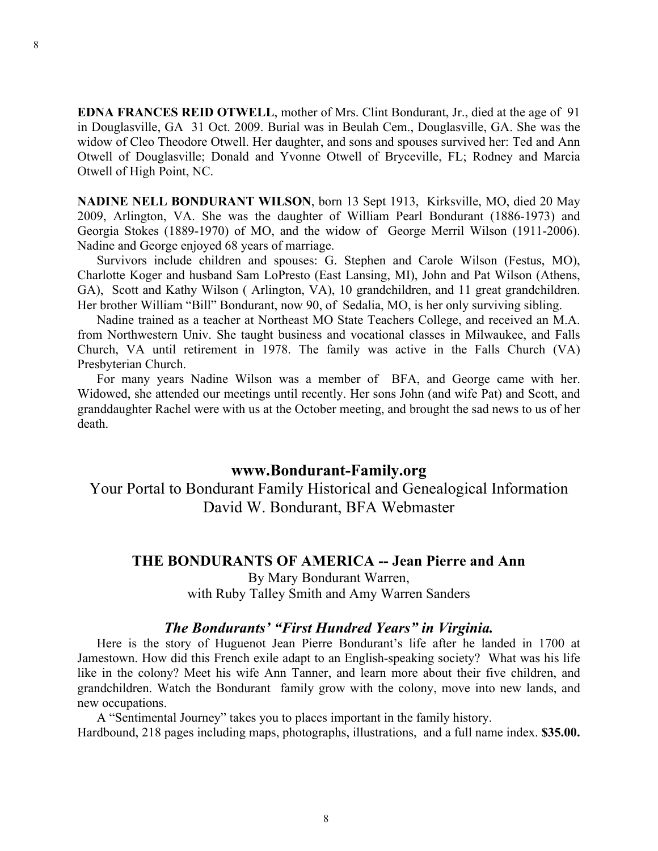**EDNA FRANCES REID OTWELL**, mother of Mrs. Clint Bondurant, Jr., died at the age of 91 in Douglasville, GA 31 Oct. 2009. Burial was in Beulah Cem., Douglasville, GA. She was the widow of Cleo Theodore Otwell. Her daughter, and sons and spouses survived her: Ted and Ann Otwell of Douglasville; Donald and Yvonne Otwell of Bryceville, FL; Rodney and Marcia Otwell of High Point, NC.

**NADINE NELL BONDURANT WILSON**, born 13 Sept 1913, Kirksville, MO, died 20 May 2009, Arlington, VA. She was the daughter of William Pearl Bondurant (1886-1973) and Georgia Stokes (1889-1970) of MO, and the widow of George Merril Wilson (1911-2006). Nadine and George enjoyed 68 years of marriage.

Survivors include children and spouses: G. Stephen and Carole Wilson (Festus, MO), Charlotte Koger and husband Sam LoPresto (East Lansing, MI), John and Pat Wilson (Athens, GA), Scott and Kathy Wilson ( Arlington, VA), 10 grandchildren, and 11 great grandchildren. Her brother William "Bill" Bondurant, now 90, of Sedalia, MO, is her only surviving sibling.

Nadine trained as a teacher at Northeast MO State Teachers College, and received an M.A. from Northwestern Univ. She taught business and vocational classes in Milwaukee, and Falls Church, VA until retirement in 1978. The family was active in the Falls Church (VA) Presbyterian Church.

For many years Nadine Wilson was a member of BFA, and George came with her. Widowed, she attended our meetings until recently. Her sons John (and wife Pat) and Scott, and granddaughter Rachel were with us at the October meeting, and brought the sad news to us of her death.

### **www.Bondurant-Family.org**

Your Portal to Bondurant Family Historical and Genealogical Information David W. Bondurant, BFA Webmaster

#### **THE BONDURANTS OF AMERICA -- Jean Pierre and Ann**

By Mary Bondurant Warren, with Ruby Talley Smith and Amy Warren Sanders

### *The Bondurants' "First Hundred Years" in Virginia.*

Here is the story of Huguenot Jean Pierre Bondurant's life after he landed in 1700 at Jamestown. How did this French exile adapt to an English-speaking society? What was his life like in the colony? Meet his wife Ann Tanner, and learn more about their five children, and grandchildren. Watch the Bondurant family grow with the colony, move into new lands, and new occupations.

A "Sentimental Journey" takes you to places important in the family history. Hardbound, 218 pages including maps, photographs, illustrations, and a full name index. **\$35.00.**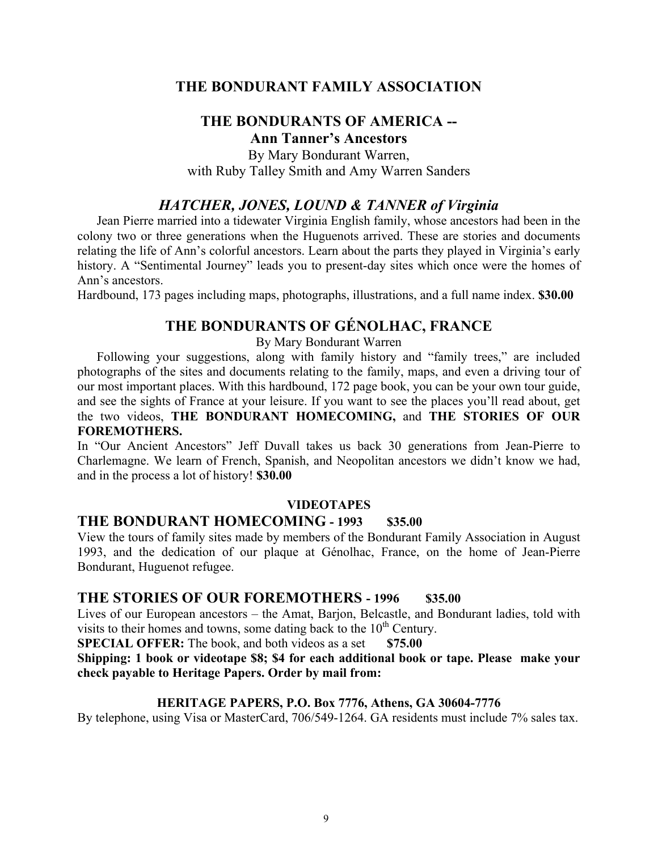### **THE BONDURANTS OF AMERICA -- Ann Tanner's Ancestors**

By Mary Bondurant Warren,

with Ruby Talley Smith and Amy Warren Sanders

### *HATCHER, JONES, LOUND & TANNER of Virginia*

Jean Pierre married into a tidewater Virginia English family, whose ancestors had been in the colony two or three generations when the Huguenots arrived. These are stories and documents relating the life of Ann's colorful ancestors. Learn about the parts they played in Virginia's early history. A "Sentimental Journey" leads you to present-day sites which once were the homes of Ann's ancestors.

Hardbound, 173 pages including maps, photographs, illustrations, and a full name index. **\$30.00**

# **THE BONDURANTS OF GÉNOLHAC, FRANCE**

By Mary Bondurant Warren

Following your suggestions, along with family history and "family trees," are included photographs of the sites and documents relating to the family, maps, and even a driving tour of our most important places. With this hardbound, 172 page book, you can be your own tour guide, and see the sights of France at your leisure. If you want to see the places you'll read about, get the two videos, **THE BONDURANT HOMECOMING,** and **THE STORIES OF OUR FOREMOTHERS.**

In "Our Ancient Ancestors" Jeff Duvall takes us back 30 generations from Jean-Pierre to Charlemagne. We learn of French, Spanish, and Neopolitan ancestors we didn't know we had, and in the process a lot of history! **\$30.00**

#### **VIDEOTAPES**

### **THE BONDURANT HOMECOMING - 1993 \$35.00**

View the tours of family sites made by members of the Bondurant Family Association in August 1993, and the dedication of our plaque at Génolhac, France, on the home of Jean-Pierre Bondurant, Huguenot refugee.

### **THE STORIES OF OUR FOREMOTHERS - 1996 \$35.00**

Lives of our European ancestors – the Amat, Barjon, Belcastle, and Bondurant ladies, told with visits to their homes and towns, some dating back to the  $10<sup>th</sup>$  Century.

**SPECIAL OFFER:** The book, and both videos as a set \$75.00

**Shipping: 1 book or videotape \$8; \$4 for each additional book or tape. Please make your check payable to Heritage Papers. Order by mail from:**

#### **HERITAGE PAPERS, P.O. Box 7776, Athens, GA 30604-7776**

By telephone, using Visa or MasterCard, 706/549-1264. GA residents must include 7% sales tax.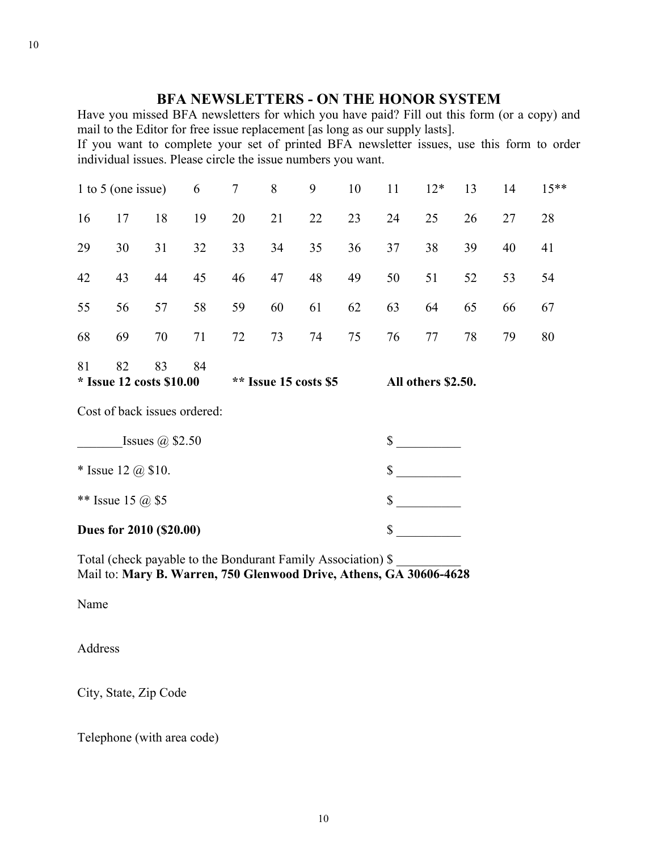# **BFA NEWSLETTERS - ON THE HONOR SYSTEM**

Have you missed BFA newsletters for which you have paid? Fill out this form (or a copy) and mail to the Editor for free issue replacement [as long as our supply lasts].

If you want to complete your set of printed BFA newsletter issues, use this form to order individual issues. Please circle the issue numbers you want.

| 1 to 5 (one issue)                                                          |    | 6  | $\tau$                       | 8  | 9  | 10 | 11                                                           | $12*$ | 13 | 14 | $15***$ |    |
|-----------------------------------------------------------------------------|----|----|------------------------------|----|----|----|--------------------------------------------------------------|-------|----|----|---------|----|
| 16                                                                          | 17 | 18 | 19                           | 20 | 21 | 22 | 23                                                           | 24    | 25 | 26 | 27      | 28 |
| 29                                                                          | 30 | 31 | 32                           | 33 | 34 | 35 | 36                                                           | 37    | 38 | 39 | 40      | 41 |
| 42                                                                          | 43 | 44 | 45                           | 46 | 47 | 48 | 49                                                           | 50    | 51 | 52 | 53      | 54 |
| 55                                                                          | 56 | 57 | 58                           | 59 | 60 | 61 | 62                                                           | 63    | 64 | 65 | 66      | 67 |
| 68                                                                          | 69 | 70 | 71                           | 72 | 73 | 74 | 75                                                           | 76    | 77 | 78 | 79      | 80 |
| 82<br>83<br>81<br>84<br>* Issue 12 costs \$10.00<br>$**$ Issue 15 costs \$5 |    |    |                              |    |    |    | All others \$2.50.                                           |       |    |    |         |    |
|                                                                             |    |    | Cost of back issues ordered: |    |    |    |                                                              |       |    |    |         |    |
| Issues $\omega$ \$2.50                                                      |    |    |                              |    |    |    | \$                                                           |       |    |    |         |    |
| * Issue 12 $(a)$ \$10.                                                      |    |    |                              |    |    |    | \$                                                           |       |    |    |         |    |
| ** Issue 15 @ \$5                                                           |    |    |                              |    |    |    | \$                                                           |       |    |    |         |    |
| Dues for 2010 (\$20.00)                                                     |    |    |                              |    |    |    | \$                                                           |       |    |    |         |    |
|                                                                             |    |    |                              |    |    |    | Total (check payable to the Bondurant Family Association) \$ |       |    |    |         |    |

Mail to: **Mary B. Warren, 750 Glenwood Drive, Athens, GA 30606-4628**

Name

Address

City, State, Zip Code

Telephone (with area code)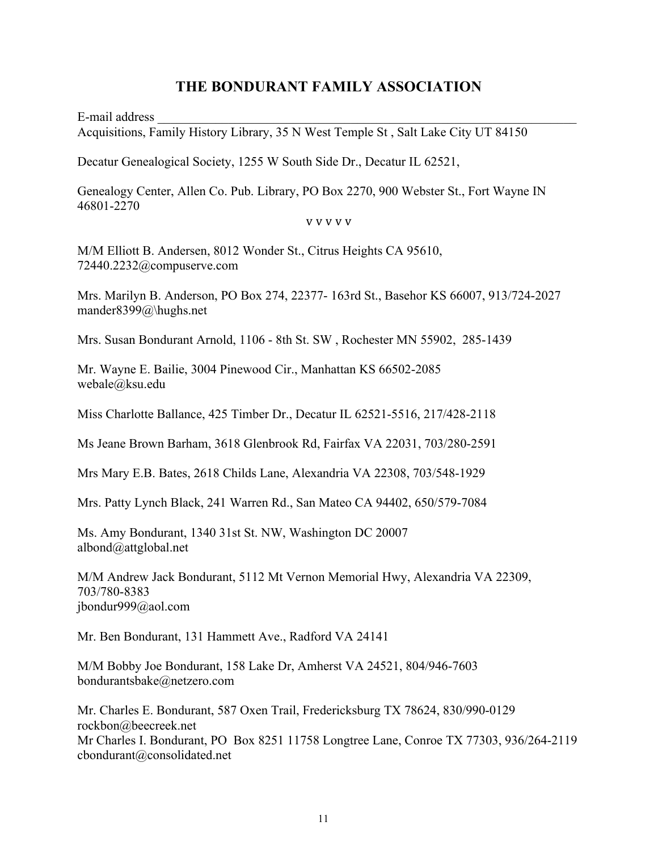E-mail address Acquisitions, Family History Library, 35 N West Temple St , Salt Lake City UT 84150

Decatur Genealogical Society, 1255 W South Side Dr., Decatur IL 62521,

Genealogy Center, Allen Co. Pub. Library, PO Box 2270, 900 Webster St., Fort Wayne IN 46801-2270

#### **V V V V V**

M/M Elliott B. Andersen, 8012 Wonder St., Citrus Heights CA 95610, 72440.2232@compuserve.com

Mrs. Marilyn B. Anderson, PO Box 274, 22377- 163rd St., Basehor KS 66007, 913/724-2027 mander8399@\hughs.net

Mrs. Susan Bondurant Arnold, 1106 - 8th St. SW , Rochester MN 55902, 285-1439

Mr. Wayne E. Bailie, 3004 Pinewood Cir., Manhattan KS 66502-2085 webale@ksu.edu

Miss Charlotte Ballance, 425 Timber Dr., Decatur IL 62521-5516, 217/428-2118

Ms Jeane Brown Barham, 3618 Glenbrook Rd, Fairfax VA 22031, 703/280-2591

Mrs Mary E.B. Bates, 2618 Childs Lane, Alexandria VA 22308, 703/548-1929

Mrs. Patty Lynch Black, 241 Warren Rd., San Mateo CA 94402, 650/579-7084

Ms. Amy Bondurant, 1340 31st St. NW, Washington DC 20007 albond@attglobal.net

M/M Andrew Jack Bondurant, 5112 Mt Vernon Memorial Hwy, Alexandria VA 22309, 703/780-8383 jbondur999@aol.com

Mr. Ben Bondurant, 131 Hammett Ave., Radford VA 24141

M/M Bobby Joe Bondurant, 158 Lake Dr, Amherst VA 24521, 804/946-7603 bondurantsbake@netzero.com

Mr. Charles E. Bondurant, 587 Oxen Trail, Fredericksburg TX 78624, 830/990-0129 rockbon@beecreek.net Mr Charles I. Bondurant, PO Box 8251 11758 Longtree Lane, Conroe TX 77303, 936/264-2119 cbondurant@consolidated.net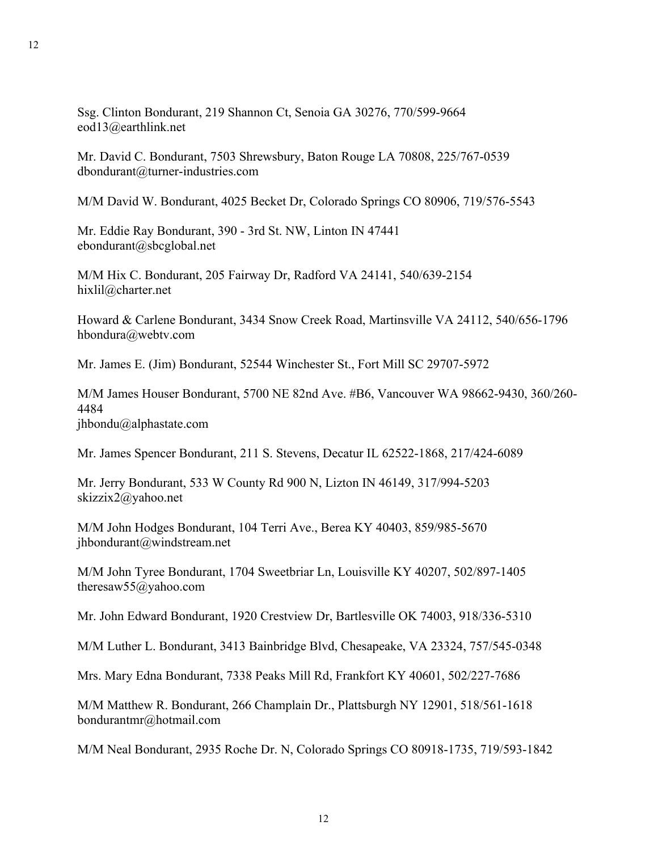Ssg. Clinton Bondurant, 219 Shannon Ct, Senoia GA 30276, 770/599-9664 eod13@earthlink.net

Mr. David C. Bondurant, 7503 Shrewsbury, Baton Rouge LA 70808, 225/767-0539 dbondurant@turner-industries.com

M/M David W. Bondurant, 4025 Becket Dr, Colorado Springs CO 80906, 719/576-5543

Mr. Eddie Ray Bondurant, 390 - 3rd St. NW, Linton IN 47441 ebondurant@sbcglobal.net

M/M Hix C. Bondurant, 205 Fairway Dr, Radford VA 24141, 540/639-2154 hixlil@charter.net

Howard & Carlene Bondurant, 3434 Snow Creek Road, Martinsville VA 24112, 540/656-1796 hbondura@webtv.com

Mr. James E. (Jim) Bondurant, 52544 Winchester St., Fort Mill SC 29707-5972

M/M James Houser Bondurant, 5700 NE 82nd Ave. #B6, Vancouver WA 98662-9430, 360/260- 4484

jhbondu@alphastate.com

Mr. James Spencer Bondurant, 211 S. Stevens, Decatur IL 62522-1868, 217/424-6089

Mr. Jerry Bondurant, 533 W County Rd 900 N, Lizton IN 46149, 317/994-5203 skizzix2@yahoo.net

M/M John Hodges Bondurant, 104 Terri Ave., Berea KY 40403, 859/985-5670 jhbondurant@windstream.net

M/M John Tyree Bondurant, 1704 Sweetbriar Ln, Louisville KY 40207, 502/897-1405 theresaw55@yahoo.com

Mr. John Edward Bondurant, 1920 Crestview Dr, Bartlesville OK 74003, 918/336-5310

M/M Luther L. Bondurant, 3413 Bainbridge Blvd, Chesapeake, VA 23324, 757/545-0348

Mrs. Mary Edna Bondurant, 7338 Peaks Mill Rd, Frankfort KY 40601, 502/227-7686

M/M Matthew R. Bondurant, 266 Champlain Dr., Plattsburgh NY 12901, 518/561-1618 bondurantmr@hotmail.com

M/M Neal Bondurant, 2935 Roche Dr. N, Colorado Springs CO 80918-1735, 719/593-1842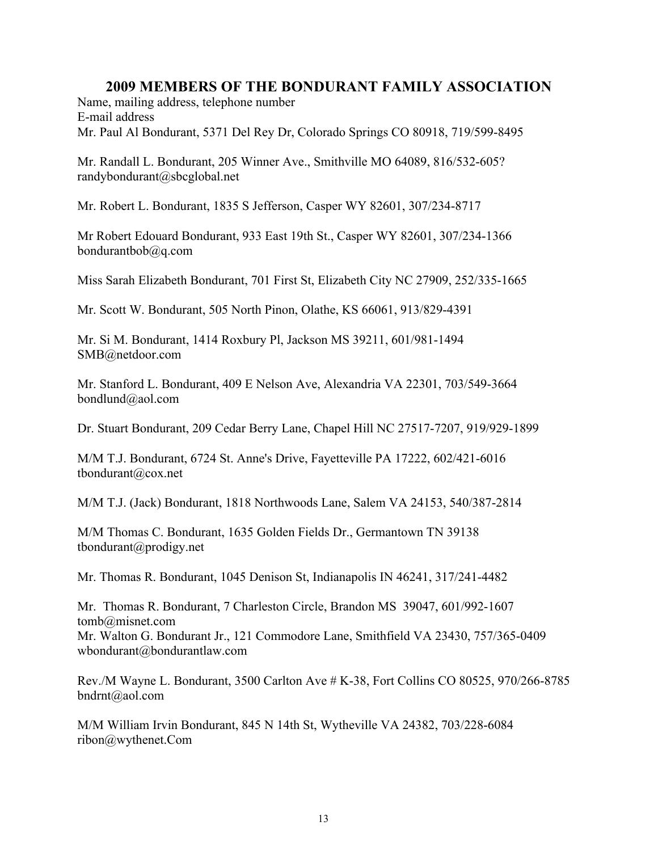Name, mailing address, telephone number E-mail address Mr. Paul Al Bondurant, 5371 Del Rey Dr, Colorado Springs CO 80918, 719/599-8495

Mr. Randall L. Bondurant, 205 Winner Ave., Smithville MO 64089, 816/532-605? randybondurant@sbcglobal.net

Mr. Robert L. Bondurant, 1835 S Jefferson, Casper WY 82601, 307/234-8717

Mr Robert Edouard Bondurant, 933 East 19th St., Casper WY 82601, 307/234-1366 bondurantbob@q.com

Miss Sarah Elizabeth Bondurant, 701 First St, Elizabeth City NC 27909, 252/335-1665

Mr. Scott W. Bondurant, 505 North Pinon, Olathe, KS 66061, 913/829-4391

Mr. Si M. Bondurant, 1414 Roxbury Pl, Jackson MS 39211, 601/981-1494 SMB@netdoor.com

Mr. Stanford L. Bondurant, 409 E Nelson Ave, Alexandria VA 22301, 703/549-3664 bondlund@aol.com

Dr. Stuart Bondurant, 209 Cedar Berry Lane, Chapel Hill NC 27517-7207, 919/929-1899

M/M T.J. Bondurant, 6724 St. Anne's Drive, Fayetteville PA 17222, 602/421-6016 tbondurant@cox.net

M/M T.J. (Jack) Bondurant, 1818 Northwoods Lane, Salem VA 24153, 540/387-2814

M/M Thomas C. Bondurant, 1635 Golden Fields Dr., Germantown TN 39138 tbondurant@prodigy.net

Mr. Thomas R. Bondurant, 1045 Denison St, Indianapolis IN 46241, 317/241-4482

Mr. Thomas R. Bondurant, 7 Charleston Circle, Brandon MS 39047, 601/992-1607 tomb@misnet.com Mr. Walton G. Bondurant Jr., 121 Commodore Lane, Smithfield VA 23430, 757/365-0409 wbondurant@bondurantlaw.com

Rev./M Wayne L. Bondurant, 3500 Carlton Ave # K-38, Fort Collins CO 80525, 970/266-8785 bndrnt@aol.com

M/M William Irvin Bondurant, 845 N 14th St, Wytheville VA 24382, 703/228-6084 ribon@wythenet.Com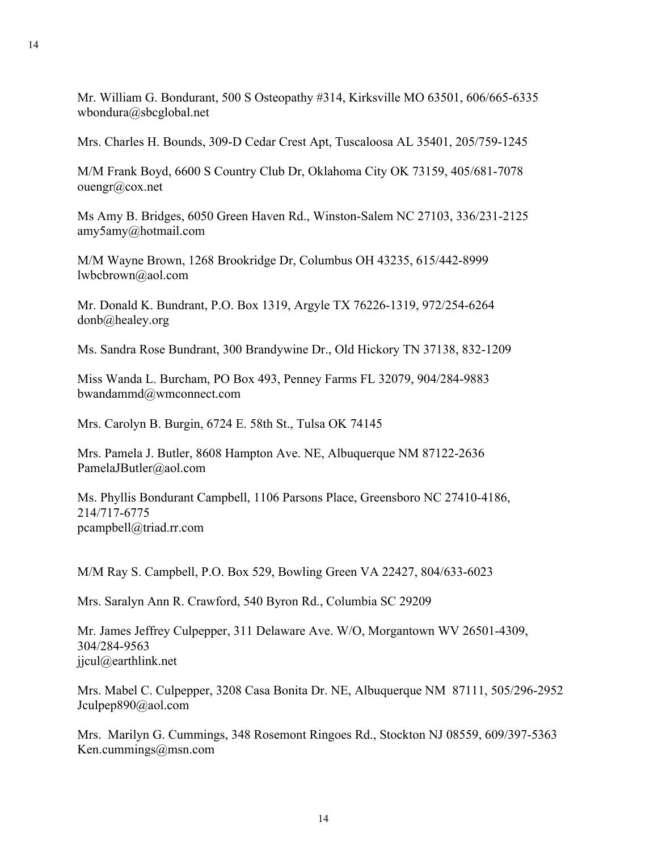Mr. William G. Bondurant, 500 S Osteopathy #314, Kirksville MO 63501, 606/665-6335 wbondura@sbcglobal.net

Mrs. Charles H. Bounds, 309-D Cedar Crest Apt, Tuscaloosa AL 35401, 205/759-1245

M/M Frank Boyd, 6600 S Country Club Dr, Oklahoma City OK 73159, 405/681-7078 ouengr@cox.net

Ms Amy B. Bridges, 6050 Green Haven Rd., Winston-Salem NC 27103, 336/231-2125 amy5amy@hotmail.com

M/M Wayne Brown, 1268 Brookridge Dr, Columbus OH 43235, 615/442-8999 lwbcbrown@aol.com

Mr. Donald K. Bundrant, P.O. Box 1319, Argyle TX 76226-1319, 972/254-6264 donb@healey.org

Ms. Sandra Rose Bundrant, 300 Brandywine Dr., Old Hickory TN 37138, 832-1209

Miss Wanda L. Burcham, PO Box 493, Penney Farms FL 32079, 904/284-9883 bwandammd@wmconnect.com

Mrs. Carolyn B. Burgin, 6724 E. 58th St., Tulsa OK 74145

Mrs. Pamela J. Butler, 8608 Hampton Ave. NE, Albuquerque NM 87122-2636 PamelaJButler@aol.com

Ms. Phyllis Bondurant Campbell, 1106 Parsons Place, Greensboro NC 27410-4186, 214/717-6775 pcampbell@triad.rr.com

M/M Ray S. Campbell, P.O. Box 529, Bowling Green VA 22427, 804/633-6023

Mrs. Saralyn Ann R. Crawford, 540 Byron Rd., Columbia SC 29209

Mr. James Jeffrey Culpepper, 311 Delaware Ave. W/O, Morgantown WV 26501-4309, 304/284-9563 jjcul@earthlink.net

Mrs. Mabel C. Culpepper, 3208 Casa Bonita Dr. NE, Albuquerque NM 87111, 505/296-2952 Jculpep890@aol.com

Mrs. Marilyn G. Cummings, 348 Rosemont Ringoes Rd., Stockton NJ 08559, 609/397-5363 Ken.cummings@msn.com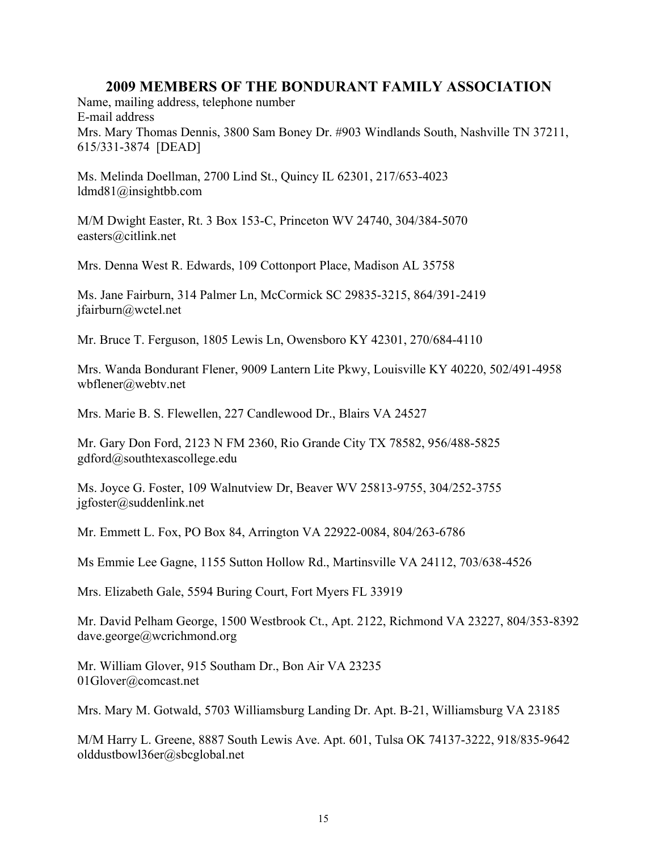Name, mailing address, telephone number E-mail address Mrs. Mary Thomas Dennis, 3800 Sam Boney Dr. #903 Windlands South, Nashville TN 37211, 615/331-3874 [DEAD]

Ms. Melinda Doellman, 2700 Lind St., Quincy IL 62301, 217/653-4023 ldmd81@insightbb.com

M/M Dwight Easter, Rt. 3 Box 153-C, Princeton WV 24740, 304/384-5070 easters@citlink.net

Mrs. Denna West R. Edwards, 109 Cottonport Place, Madison AL 35758

Ms. Jane Fairburn, 314 Palmer Ln, McCormick SC 29835-3215, 864/391-2419 jfairburn@wctel.net

Mr. Bruce T. Ferguson, 1805 Lewis Ln, Owensboro KY 42301, 270/684-4110

Mrs. Wanda Bondurant Flener, 9009 Lantern Lite Pkwy, Louisville KY 40220, 502/491-4958 wbflener@webtv.net

Mrs. Marie B. S. Flewellen, 227 Candlewood Dr., Blairs VA 24527

Mr. Gary Don Ford, 2123 N FM 2360, Rio Grande City TX 78582, 956/488-5825 gdford@southtexascollege.edu

Ms. Joyce G. Foster, 109 Walnutview Dr, Beaver WV 25813-9755, 304/252-3755 jgfoster@suddenlink.net

Mr. Emmett L. Fox, PO Box 84, Arrington VA 22922-0084, 804/263-6786

Ms Emmie Lee Gagne, 1155 Sutton Hollow Rd., Martinsville VA 24112, 703/638-4526

Mrs. Elizabeth Gale, 5594 Buring Court, Fort Myers FL 33919

Mr. David Pelham George, 1500 Westbrook Ct., Apt. 2122, Richmond VA 23227, 804/353-8392 dave.george@wcrichmond.org

Mr. William Glover, 915 Southam Dr., Bon Air VA 23235 01Glover@comcast.net

Mrs. Mary M. Gotwald, 5703 Williamsburg Landing Dr. Apt. B-21, Williamsburg VA 23185

M/M Harry L. Greene, 8887 South Lewis Ave. Apt. 601, Tulsa OK 74137-3222, 918/835-9642 olddustbowl36er@sbcglobal.net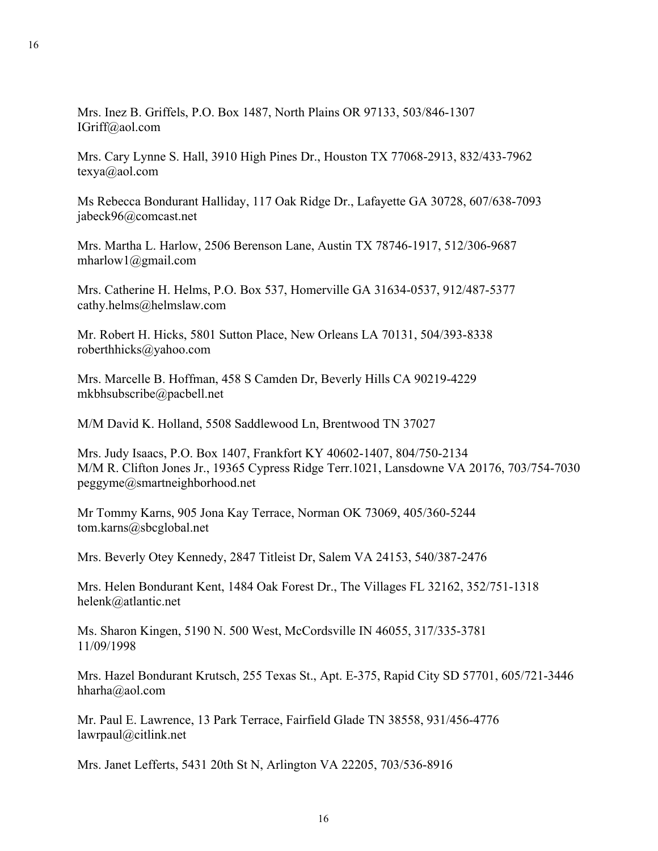Mrs. Inez B. Griffels, P.O. Box 1487, North Plains OR 97133, 503/846-1307 IGriff@aol.com

Mrs. Cary Lynne S. Hall, 3910 High Pines Dr., Houston TX 77068-2913, 832/433-7962 texya@aol.com

Ms Rebecca Bondurant Halliday, 117 Oak Ridge Dr., Lafayette GA 30728, 607/638-7093 jabeck96@comcast.net

Mrs. Martha L. Harlow, 2506 Berenson Lane, Austin TX 78746-1917, 512/306-9687 mharlow1@gmail.com

Mrs. Catherine H. Helms, P.O. Box 537, Homerville GA 31634-0537, 912/487-5377 cathy.helms@helmslaw.com

Mr. Robert H. Hicks, 5801 Sutton Place, New Orleans LA 70131, 504/393-8338 roberthhicks@yahoo.com

Mrs. Marcelle B. Hoffman, 458 S Camden Dr, Beverly Hills CA 90219-4229 mkbhsubscribe@pacbell.net

M/M David K. Holland, 5508 Saddlewood Ln, Brentwood TN 37027

Mrs. Judy Isaacs, P.O. Box 1407, Frankfort KY 40602-1407, 804/750-2134 M/M R. Clifton Jones Jr., 19365 Cypress Ridge Terr.1021, Lansdowne VA 20176, 703/754-7030 peggyme@smartneighborhood.net

Mr Tommy Karns, 905 Jona Kay Terrace, Norman OK 73069, 405/360-5244 tom.karns@sbcglobal.net

Mrs. Beverly Otey Kennedy, 2847 Titleist Dr, Salem VA 24153, 540/387-2476

Mrs. Helen Bondurant Kent, 1484 Oak Forest Dr., The Villages FL 32162, 352/751-1318 helenk@atlantic.net

Ms. Sharon Kingen, 5190 N. 500 West, McCordsville IN 46055, 317/335-3781 11/09/1998

Mrs. Hazel Bondurant Krutsch, 255 Texas St., Apt. E-375, Rapid City SD 57701, 605/721-3446 hharha@aol.com

Mr. Paul E. Lawrence, 13 Park Terrace, Fairfield Glade TN 38558, 931/456-4776 lawrpaul@citlink.net

Mrs. Janet Lefferts, 5431 20th St N, Arlington VA 22205, 703/536-8916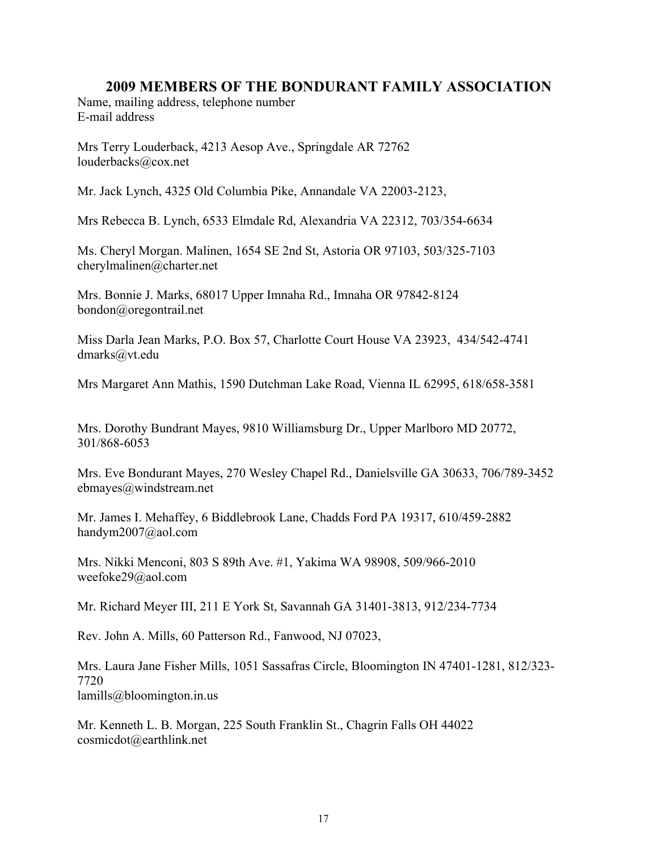Name, mailing address, telephone number E-mail address

Mrs Terry Louderback, 4213 Aesop Ave., Springdale AR 72762 louderbacks@cox.net

Mr. Jack Lynch, 4325 Old Columbia Pike, Annandale VA 22003-2123,

Mrs Rebecca B. Lynch, 6533 Elmdale Rd, Alexandria VA 22312, 703/354-6634

Ms. Cheryl Morgan. Malinen, 1654 SE 2nd St, Astoria OR 97103, 503/325-7103 cherylmalinen@charter.net

Mrs. Bonnie J. Marks, 68017 Upper Imnaha Rd., Imnaha OR 97842-8124 bondon@oregontrail.net

Miss Darla Jean Marks, P.O. Box 57, Charlotte Court House VA 23923, 434/542-4741 dmarks@vt.edu

Mrs Margaret Ann Mathis, 1590 Dutchman Lake Road, Vienna IL 62995, 618/658-3581

Mrs. Dorothy Bundrant Mayes, 9810 Williamsburg Dr., Upper Marlboro MD 20772, 301/868-6053

Mrs. Eve Bondurant Mayes, 270 Wesley Chapel Rd., Danielsville GA 30633, 706/789-3452 ebmayes@windstream.net

Mr. James I. Mehaffey, 6 Biddlebrook Lane, Chadds Ford PA 19317, 610/459-2882 handym2007@aol.com

Mrs. Nikki Menconi, 803 S 89th Ave. #1, Yakima WA 98908, 509/966-2010 weefoke29@aol.com

Mr. Richard Meyer III, 211 E York St, Savannah GA 31401-3813, 912/234-7734

Rev. John A. Mills, 60 Patterson Rd., Fanwood, NJ 07023,

Mrs. Laura Jane Fisher Mills, 1051 Sassafras Circle, Bloomington IN 47401-1281, 812/323- 7720 lamills@bloomington.in.us

Mr. Kenneth L. B. Morgan, 225 South Franklin St., Chagrin Falls OH 44022 cosmicdot@earthlink.net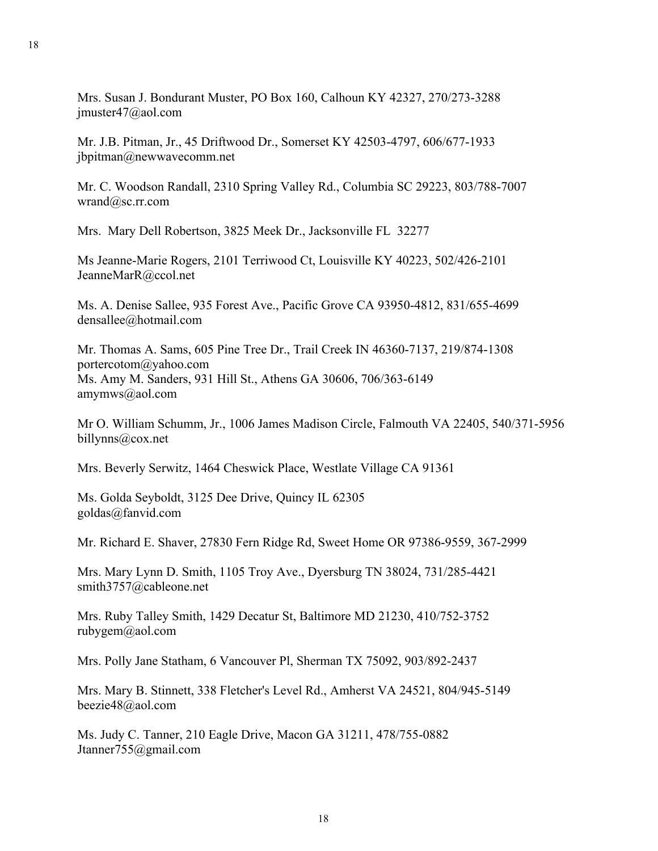Mrs. Susan J. Bondurant Muster, PO Box 160, Calhoun KY 42327, 270/273-3288 jmuster47@aol.com

Mr. J.B. Pitman, Jr., 45 Driftwood Dr., Somerset KY 42503-4797, 606/677-1933 jbpitman@newwavecomm.net

Mr. C. Woodson Randall, 2310 Spring Valley Rd., Columbia SC 29223, 803/788-7007 wrand@sc.rr.com

Mrs. Mary Dell Robertson, 3825 Meek Dr., Jacksonville FL 32277

Ms Jeanne-Marie Rogers, 2101 Terriwood Ct, Louisville KY 40223, 502/426-2101 JeanneMarR@ccol.net

Ms. A. Denise Sallee, 935 Forest Ave., Pacific Grove CA 93950-4812, 831/655-4699 densallee@hotmail.com

Mr. Thomas A. Sams, 605 Pine Tree Dr., Trail Creek IN 46360-7137, 219/874-1308 portercotom@yahoo.com Ms. Amy M. Sanders, 931 Hill St., Athens GA 30606, 706/363-6149 amymws@aol.com

Mr O. William Schumm, Jr., 1006 James Madison Circle, Falmouth VA 22405, 540/371-5956 billynns@cox.net

Mrs. Beverly Serwitz, 1464 Cheswick Place, Westlate Village CA 91361

Ms. Golda Seyboldt, 3125 Dee Drive, Quincy IL 62305 goldas@fanvid.com

Mr. Richard E. Shaver, 27830 Fern Ridge Rd, Sweet Home OR 97386-9559, 367-2999

Mrs. Mary Lynn D. Smith, 1105 Troy Ave., Dyersburg TN 38024, 731/285-4421 smith3757@cableone.net

Mrs. Ruby Talley Smith, 1429 Decatur St, Baltimore MD 21230, 410/752-3752 rubygem@aol.com

Mrs. Polly Jane Statham, 6 Vancouver Pl, Sherman TX 75092, 903/892-2437

Mrs. Mary B. Stinnett, 338 Fletcher's Level Rd., Amherst VA 24521, 804/945-5149 beezie48@aol.com

Ms. Judy C. Tanner, 210 Eagle Drive, Macon GA 31211, 478/755-0882 Jtanner755@gmail.com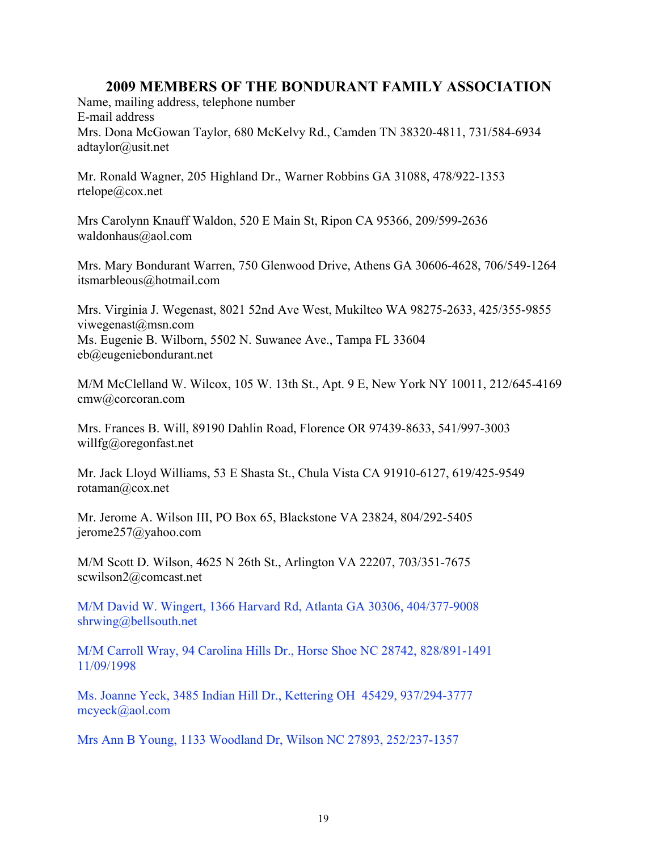Name, mailing address, telephone number E-mail address Mrs. Dona McGowan Taylor, 680 McKelvy Rd., Camden TN 38320-4811, 731/584-6934 adtaylor@usit.net

Mr. Ronald Wagner, 205 Highland Dr., Warner Robbins GA 31088, 478/922-1353 rtelope@cox.net

Mrs Carolynn Knauff Waldon, 520 E Main St, Ripon CA 95366, 209/599-2636 waldonhaus@aol.com

Mrs. Mary Bondurant Warren, 750 Glenwood Drive, Athens GA 30606-4628, 706/549-1264 itsmarbleous@hotmail.com

Mrs. Virginia J. Wegenast, 8021 52nd Ave West, Mukilteo WA 98275-2633, 425/355-9855 viwegenast@msn.com Ms. Eugenie B. Wilborn, 5502 N. Suwanee Ave., Tampa FL 33604 eb@eugeniebondurant.net

M/M McClelland W. Wilcox, 105 W. 13th St., Apt. 9 E, New York NY 10011, 212/645-4169 cmw@corcoran.com

Mrs. Frances B. Will, 89190 Dahlin Road, Florence OR 97439-8633, 541/997-3003 willfg@oregonfast.net

Mr. Jack Lloyd Williams, 53 E Shasta St., Chula Vista CA 91910-6127, 619/425-9549 rotaman@cox.net

Mr. Jerome A. Wilson III, PO Box 65, Blackstone VA 23824, 804/292-5405 jerome257@yahoo.com

M/M Scott D. Wilson, 4625 N 26th St., Arlington VA 22207, 703/351-7675 scwilson2@comcast.net

M/M David W. Wingert, 1366 Harvard Rd, Atlanta GA 30306, 404/377-9008 shrwing@bellsouth.net

M/M Carroll Wray, 94 Carolina Hills Dr., Horse Shoe NC 28742, 828/891-1491 11/09/1998

Ms. Joanne Yeck, 3485 Indian Hill Dr., Kettering OH 45429, 937/294-3777 mcyeck@aol.com

Mrs Ann B Young, 1133 Woodland Dr, Wilson NC 27893, 252/237-1357